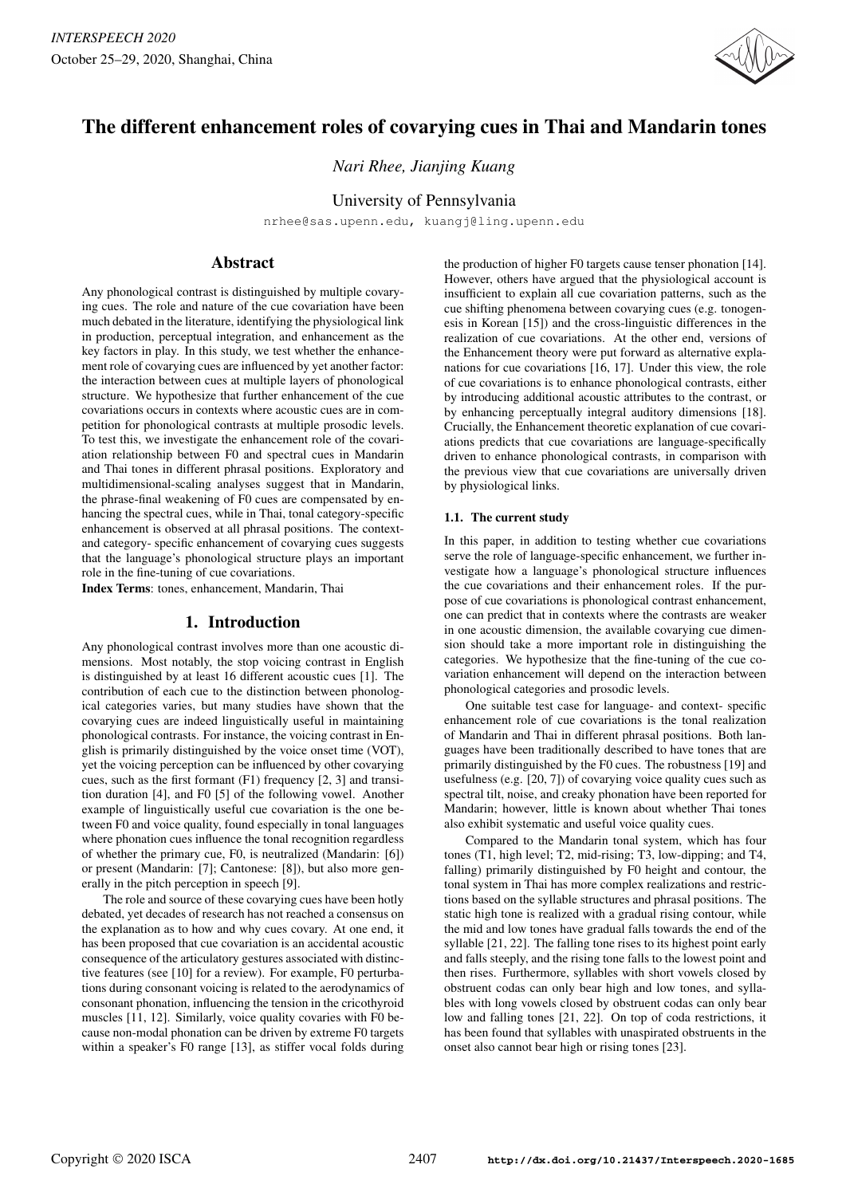

# The different enhancement roles of covarying cues in Thai and Mandarin tones

*Nari Rhee, Jianjing Kuang*

## University of Pennsylvania

nrhee@sas.upenn.edu, kuangj@ling.upenn.edu

## Abstract

Any phonological contrast is distinguished by multiple covarying cues. The role and nature of the cue covariation have been much debated in the literature, identifying the physiological link in production, perceptual integration, and enhancement as the key factors in play. In this study, we test whether the enhancement role of covarying cues are influenced by yet another factor: the interaction between cues at multiple layers of phonological structure. We hypothesize that further enhancement of the cue covariations occurs in contexts where acoustic cues are in competition for phonological contrasts at multiple prosodic levels. To test this, we investigate the enhancement role of the covariation relationship between F0 and spectral cues in Mandarin and Thai tones in different phrasal positions. Exploratory and multidimensional-scaling analyses suggest that in Mandarin, the phrase-final weakening of F0 cues are compensated by enhancing the spectral cues, while in Thai, tonal category-specific enhancement is observed at all phrasal positions. The contextand category- specific enhancement of covarying cues suggests that the language's phonological structure plays an important role in the fine-tuning of cue covariations.

Index Terms: tones, enhancement, Mandarin, Thai

## 1. Introduction

Any phonological contrast involves more than one acoustic dimensions. Most notably, the stop voicing contrast in English is distinguished by at least 16 different acoustic cues [1]. The contribution of each cue to the distinction between phonological categories varies, but many studies have shown that the covarying cues are indeed linguistically useful in maintaining phonological contrasts. For instance, the voicing contrast in English is primarily distinguished by the voice onset time (VOT), yet the voicing perception can be influenced by other covarying cues, such as the first formant (F1) frequency [2, 3] and transition duration [4], and F0 [5] of the following vowel. Another example of linguistically useful cue covariation is the one between F0 and voice quality, found especially in tonal languages where phonation cues influence the tonal recognition regardless of whether the primary cue, F0, is neutralized (Mandarin: [6]) or present (Mandarin: [7]; Cantonese: [8]), but also more generally in the pitch perception in speech [9].

The role and source of these covarying cues have been hotly debated, yet decades of research has not reached a consensus on the explanation as to how and why cues covary. At one end, it has been proposed that cue covariation is an accidental acoustic consequence of the articulatory gestures associated with distinctive features (see [10] for a review). For example, F0 perturbations during consonant voicing is related to the aerodynamics of consonant phonation, influencing the tension in the cricothyroid muscles [11, 12]. Similarly, voice quality covaries with F0 because non-modal phonation can be driven by extreme F0 targets within a speaker's F0 range [13], as stiffer vocal folds during

the production of higher F0 targets cause tenser phonation [14]. However, others have argued that the physiological account is insufficient to explain all cue covariation patterns, such as the cue shifting phenomena between covarying cues (e.g. tonogenesis in Korean [15]) and the cross-linguistic differences in the realization of cue covariations. At the other end, versions of the Enhancement theory were put forward as alternative explanations for cue covariations [16, 17]. Under this view, the role of cue covariations is to enhance phonological contrasts, either by introducing additional acoustic attributes to the contrast, or by enhancing perceptually integral auditory dimensions [18]. Crucially, the Enhancement theoretic explanation of cue covariations predicts that cue covariations are language-specifically driven to enhance phonological contrasts, in comparison with the previous view that cue covariations are universally driven by physiological links.

#### 1.1. The current study

In this paper, in addition to testing whether cue covariations serve the role of language-specific enhancement, we further investigate how a language's phonological structure influences the cue covariations and their enhancement roles. If the purpose of cue covariations is phonological contrast enhancement, one can predict that in contexts where the contrasts are weaker in one acoustic dimension, the available covarying cue dimension should take a more important role in distinguishing the categories. We hypothesize that the fine-tuning of the cue covariation enhancement will depend on the interaction between phonological categories and prosodic levels.

One suitable test case for language- and context- specific enhancement role of cue covariations is the tonal realization of Mandarin and Thai in different phrasal positions. Both languages have been traditionally described to have tones that are primarily distinguished by the F0 cues. The robustness [19] and usefulness (e.g. [20, 7]) of covarying voice quality cues such as spectral tilt, noise, and creaky phonation have been reported for Mandarin; however, little is known about whether Thai tones also exhibit systematic and useful voice quality cues.

Compared to the Mandarin tonal system, which has four tones (T1, high level; T2, mid-rising; T3, low-dipping; and T4, falling) primarily distinguished by F0 height and contour, the tonal system in Thai has more complex realizations and restrictions based on the syllable structures and phrasal positions. The static high tone is realized with a gradual rising contour, while the mid and low tones have gradual falls towards the end of the syllable [21, 22]. The falling tone rises to its highest point early and falls steeply, and the rising tone falls to the lowest point and then rises. Furthermore, syllables with short vowels closed by obstruent codas can only bear high and low tones, and syllables with long vowels closed by obstruent codas can only bear low and falling tones [21, 22]. On top of coda restrictions, it has been found that syllables with unaspirated obstruents in the onset also cannot bear high or rising tones [23].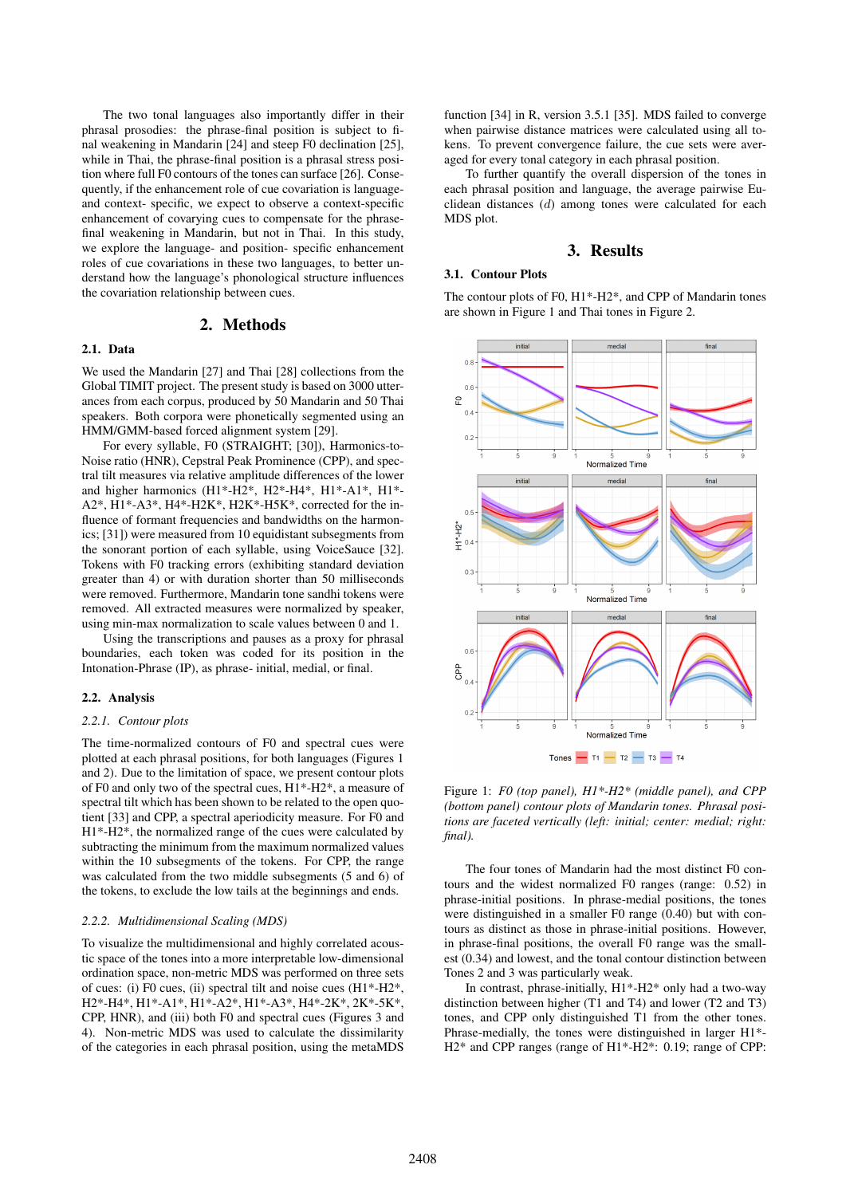The two tonal languages also importantly differ in their phrasal prosodies: the phrase-final position is subject to final weakening in Mandarin [24] and steep F0 declination [25], while in Thai, the phrase-final position is a phrasal stress position where full F0 contours of the tones can surface [26]. Consequently, if the enhancement role of cue covariation is languageand context- specific, we expect to observe a context-specific enhancement of covarying cues to compensate for the phrasefinal weakening in Mandarin, but not in Thai. In this study, we explore the language- and position- specific enhancement roles of cue covariations in these two languages, to better understand how the language's phonological structure influences the covariation relationship between cues.

## 2. Methods

## 2.1. Data

We used the Mandarin [27] and Thai [28] collections from the Global TIMIT project. The present study is based on 3000 utterances from each corpus, produced by 50 Mandarin and 50 Thai speakers. Both corpora were phonetically segmented using an HMM/GMM-based forced alignment system [29].

For every syllable, F0 (STRAIGHT; [30]), Harmonics-to-Noise ratio (HNR), Cepstral Peak Prominence (CPP), and spectral tilt measures via relative amplitude differences of the lower and higher harmonics (H1\*-H2\*, H2\*-H4\*, H1\*-A1\*, H1\*- A2\*, H1\*-A3\*, H4\*-H2K\*, H2K\*-H5K\*, corrected for the influence of formant frequencies and bandwidths on the harmonics; [31]) were measured from 10 equidistant subsegments from the sonorant portion of each syllable, using VoiceSauce [32]. Tokens with F0 tracking errors (exhibiting standard deviation greater than 4) or with duration shorter than 50 milliseconds were removed. Furthermore, Mandarin tone sandhi tokens were removed. All extracted measures were normalized by speaker, using min-max normalization to scale values between 0 and 1.

Using the transcriptions and pauses as a proxy for phrasal boundaries, each token was coded for its position in the Intonation-Phrase (IP), as phrase- initial, medial, or final.

#### 2.2. Analysis

### *2.2.1. Contour plots*

The time-normalized contours of F0 and spectral cues were plotted at each phrasal positions, for both languages (Figures 1 and 2). Due to the limitation of space, we present contour plots of F0 and only two of the spectral cues, H1\*-H2\*, a measure of spectral tilt which has been shown to be related to the open quotient [33] and CPP, a spectral aperiodicity measure. For F0 and H1\*-H2\*, the normalized range of the cues were calculated by subtracting the minimum from the maximum normalized values within the 10 subsegments of the tokens. For CPP, the range was calculated from the two middle subsegments (5 and 6) of the tokens, to exclude the low tails at the beginnings and ends.

#### *2.2.2. Multidimensional Scaling (MDS)*

To visualize the multidimensional and highly correlated acoustic space of the tones into a more interpretable low-dimensional ordination space, non-metric MDS was performed on three sets of cues: (i) F0 cues, (ii) spectral tilt and noise cues (H1\*-H2\*, H2\*-H4\*, H1\*-A1\*, H1\*-A2\*, H1\*-A3\*, H4\*-2K\*, 2K\*-5K\*, CPP, HNR), and (iii) both F0 and spectral cues (Figures 3 and 4). Non-metric MDS was used to calculate the dissimilarity of the categories in each phrasal position, using the metaMDS function [34] in R, version 3.5.1 [35]. MDS failed to converge when pairwise distance matrices were calculated using all tokens. To prevent convergence failure, the cue sets were averaged for every tonal category in each phrasal position.

To further quantify the overall dispersion of the tones in each phrasal position and language, the average pairwise Euclidean distances (d) among tones were calculated for each MDS plot.

## 3. Results

#### 3.1. Contour Plots

The contour plots of F0, H1\*-H2\*, and CPP of Mandarin tones are shown in Figure 1 and Thai tones in Figure 2.



Figure 1: *F0 (top panel), H1\*-H2\* (middle panel), and CPP (bottom panel) contour plots of Mandarin tones. Phrasal positions are faceted vertically (left: initial; center: medial; right: final).*

The four tones of Mandarin had the most distinct F0 contours and the widest normalized F0 ranges (range: 0.52) in phrase-initial positions. In phrase-medial positions, the tones were distinguished in a smaller F0 range (0.40) but with contours as distinct as those in phrase-initial positions. However, in phrase-final positions, the overall F0 range was the smallest (0.34) and lowest, and the tonal contour distinction between Tones 2 and 3 was particularly weak.

In contrast, phrase-initially, H1\*-H2\* only had a two-way distinction between higher (T1 and T4) and lower (T2 and T3) tones, and CPP only distinguished T1 from the other tones. Phrase-medially, the tones were distinguished in larger H1\*- H2\* and CPP ranges (range of H1\*-H2\*: 0.19; range of CPP: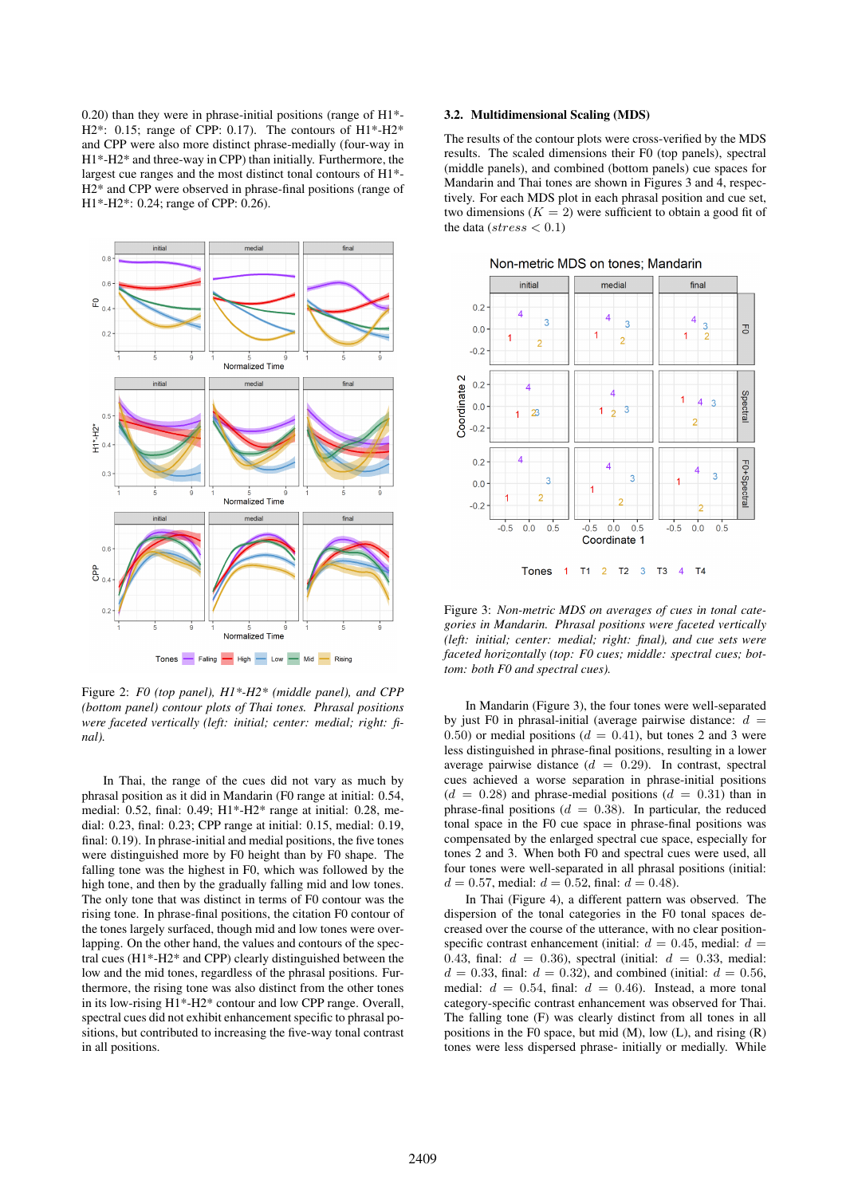0.20) than they were in phrase-initial positions (range of H1\*- H2\*: 0.15; range of CPP: 0.17). The contours of  $H1^*$ -H2\* and CPP were also more distinct phrase-medially (four-way in H1\*-H2\* and three-way in CPP) than initially. Furthermore, the largest cue ranges and the most distinct tonal contours of H1\*- H2\* and CPP were observed in phrase-final positions (range of H1\*-H2\*: 0.24; range of CPP: 0.26).



Figure 2: *F0 (top panel), H1\*-H2\* (middle panel), and CPP (bottom panel) contour plots of Thai tones. Phrasal positions were faceted vertically (left: initial; center: medial; right: final).*

In Thai, the range of the cues did not vary as much by phrasal position as it did in Mandarin (F0 range at initial: 0.54, medial: 0.52, final: 0.49; H1\*-H2\* range at initial: 0.28, medial: 0.23, final: 0.23; CPP range at initial: 0.15, medial: 0.19, final: 0.19). In phrase-initial and medial positions, the five tones were distinguished more by F0 height than by F0 shape. The falling tone was the highest in F0, which was followed by the high tone, and then by the gradually falling mid and low tones. The only tone that was distinct in terms of F0 contour was the rising tone. In phrase-final positions, the citation F0 contour of the tones largely surfaced, though mid and low tones were overlapping. On the other hand, the values and contours of the spectral cues (H1\*-H2\* and CPP) clearly distinguished between the low and the mid tones, regardless of the phrasal positions. Furthermore, the rising tone was also distinct from the other tones in its low-rising H1\*-H2\* contour and low CPP range. Overall, spectral cues did not exhibit enhancement specific to phrasal positions, but contributed to increasing the five-way tonal contrast in all positions.

### 3.2. Multidimensional Scaling (MDS)

The results of the contour plots were cross-verified by the MDS results. The scaled dimensions their F0 (top panels), spectral (middle panels), and combined (bottom panels) cue spaces for Mandarin and Thai tones are shown in Figures 3 and 4, respectively. For each MDS plot in each phrasal position and cue set, two dimensions  $(K = 2)$  were sufficient to obtain a good fit of the data ( $stress < 0.1$ )





Figure 3: *Non-metric MDS on averages of cues in tonal categories in Mandarin. Phrasal positions were faceted vertically (left: initial; center: medial; right: final), and cue sets were faceted horizontally (top: F0 cues; middle: spectral cues; bottom: both F0 and spectral cues).*

In Mandarin (Figure 3), the four tones were well-separated by just F0 in phrasal-initial (average pairwise distance:  $d =$ 0.50) or medial positions ( $d = 0.41$ ), but tones 2 and 3 were less distinguished in phrase-final positions, resulting in a lower average pairwise distance  $(d = 0.29)$ . In contrast, spectral cues achieved a worse separation in phrase-initial positions  $(d = 0.28)$  and phrase-medial positions  $(d = 0.31)$  than in phrase-final positions ( $d = 0.38$ ). In particular, the reduced tonal space in the F0 cue space in phrase-final positions was compensated by the enlarged spectral cue space, especially for tones 2 and 3. When both F0 and spectral cues were used, all four tones were well-separated in all phrasal positions (initial:  $d = 0.57$ , medial:  $d = 0.52$ , final:  $d = 0.48$ ).

In Thai (Figure 4), a different pattern was observed. The dispersion of the tonal categories in the F0 tonal spaces decreased over the course of the utterance, with no clear positionspecific contrast enhancement (initial:  $d = 0.45$ , medial:  $d =$ 0.43, final:  $d = 0.36$ ), spectral (initial:  $d = 0.33$ , medial:  $d = 0.33$ , final:  $d = 0.32$ ), and combined (initial:  $d = 0.56$ , medial:  $d = 0.54$ , final:  $d = 0.46$ ). Instead, a more tonal category-specific contrast enhancement was observed for Thai. The falling tone (F) was clearly distinct from all tones in all positions in the F0 space, but mid  $(M)$ , low  $(L)$ , and rising  $(R)$ tones were less dispersed phrase- initially or medially. While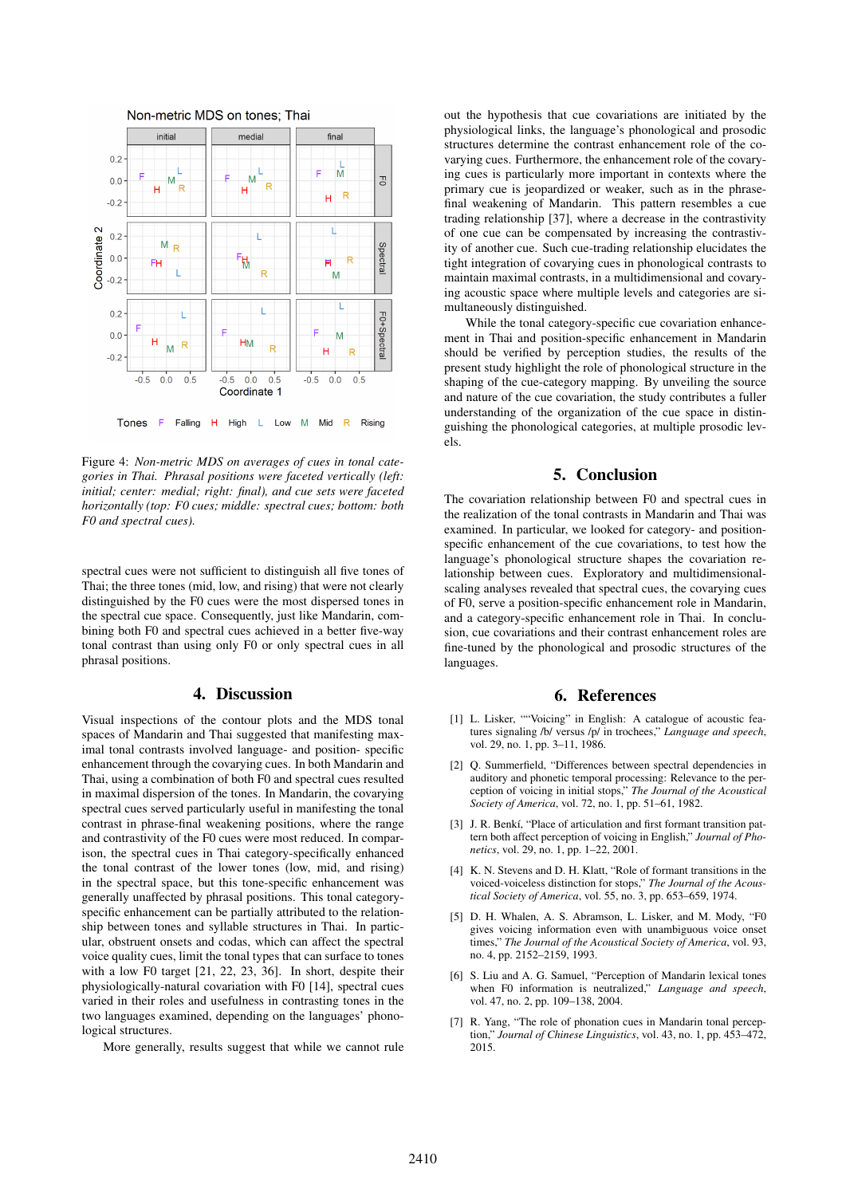

Figure 4: *Non-metric MDS on averages of cues in tonal categories in Thai. Phrasal positions were faceted vertically (left: initial; center: medial; right: final), and cue sets were faceted horizontally (top: F0 cues; middle: spectral cues; bottom: both F0 and spectral cues).*

spectral cues were not sufficient to distinguish all five tones of Thai; the three tones (mid, low, and rising) that were not clearly distinguished by the F0 cues were the most dispersed tones in the spectral cue space. Consequently, just like Mandarin, combining both F0 and spectral cues achieved in a better five-way tonal contrast than using only F0 or only spectral cues in all phrasal positions.

## 4. Discussion

Visual inspections of the contour plots and the MDS tonal spaces of Mandarin and Thai suggested that manifesting maximal tonal contrasts involved language- and position- specific enhancement through the covarying cues. In both Mandarin and Thai, using a combination of both F0 and spectral cues resulted in maximal dispersion of the tones. In Mandarin, the covarying spectral cues served particularly useful in manifesting the tonal contrast in phrase-final weakening positions, where the range and contrastivity of the F0 cues were most reduced. In comparison, the spectral cues in Thai category-specifically enhanced the tonal contrast of the lower tones (low, mid, and rising) in the spectral space, but this tone-specific enhancement was generally unaffected by phrasal positions. This tonal categoryspecific enhancement can be partially attributed to the relationship between tones and syllable structures in Thai. In particular, obstruent onsets and codas, which can affect the spectral voice quality cues, limit the tonal types that can surface to tones with a low F0 target [21, 22, 23, 36]. In short, despite their physiologically-natural covariation with F0 [14], spectral cues varied in their roles and usefulness in contrasting tones in the two languages examined, depending on the languages' phonological structures.

More generally, results suggest that while we cannot rule

out the hypothesis that cue covariations are initiated by the physiological links, the language's phonological and prosodic structures determine the contrast enhancement role of the covarying cues. Furthermore, the enhancement role of the covarying cues is particularly more important in contexts where the primary cue is jeopardized or weaker, such as in the phrasefinal weakening of Mandarin. This pattern resembles a cue trading relationship [37], where a decrease in the contrastivity of one cue can be compensated by increasing the contrastivity of another cue. Such cue-trading relationship elucidates the tight integration of covarying cues in phonological contrasts to maintain maximal contrasts, in a multidimensional and covarying acoustic space where multiple levels and categories are simultaneously distinguished.

While the tonal category-specific cue covariation enhancement in Thai and position-specific enhancement in Mandarin should be verified by perception studies, the results of the present study highlight the role of phonological structure in the shaping of the cue-category mapping. By unveiling the source and nature of the cue covariation, the study contributes a fuller understanding of the organization of the cue space in distinguishing the phonological categories, at multiple prosodic levels.

# 5. Conclusion

The covariation relationship between F0 and spectral cues in the realization of the tonal contrasts in Mandarin and Thai was examined. In particular, we looked for category- and positionspecific enhancement of the cue covariations, to test how the language's phonological structure shapes the covariation relationship between cues. Exploratory and multidimensionalscaling analyses revealed that spectral cues, the covarying cues of F0, serve a position-specific enhancement role in Mandarin, and a category-specific enhancement role in Thai. In conclusion, cue covariations and their contrast enhancement roles are fine-tuned by the phonological and prosodic structures of the languages.

## 6. References

- [1] L. Lisker, ""Voicing" in English: A catalogue of acoustic features signaling /b/ versus /p/ in trochees," *Language and speech*, vol. 29, no. 1, pp. 3–11, 1986.
- [2] Q. Summerfield, "Differences between spectral dependencies in auditory and phonetic temporal processing: Relevance to the perception of voicing in initial stops," *The Journal of the Acoustical Society of America*, vol. 72, no. 1, pp. 51–61, 1982.
- [3] J. R. Benkí, "Place of articulation and first formant transition pattern both affect perception of voicing in English," *Journal of Phonetics*, vol. 29, no. 1, pp. 1–22, 2001.
- [4] K. N. Stevens and D. H. Klatt, "Role of formant transitions in the voiced-voiceless distinction for stops," *The Journal of the Acoustical Society of America*, vol. 55, no. 3, pp. 653–659, 1974.
- [5] D. H. Whalen, A. S. Abramson, L. Lisker, and M. Mody, "F0 gives voicing information even with unambiguous voice onset times," *The Journal of the Acoustical Society of America*, vol. 93, no. 4, pp. 2152–2159, 1993.
- [6] S. Liu and A. G. Samuel, "Perception of Mandarin lexical tones when F0 information is neutralized," *Language and speech*, vol. 47, no. 2, pp. 109–138, 2004.
- [7] R. Yang, "The role of phonation cues in Mandarin tonal perception," *Journal of Chinese Linguistics*, vol. 43, no. 1, pp. 453–472, 2015.